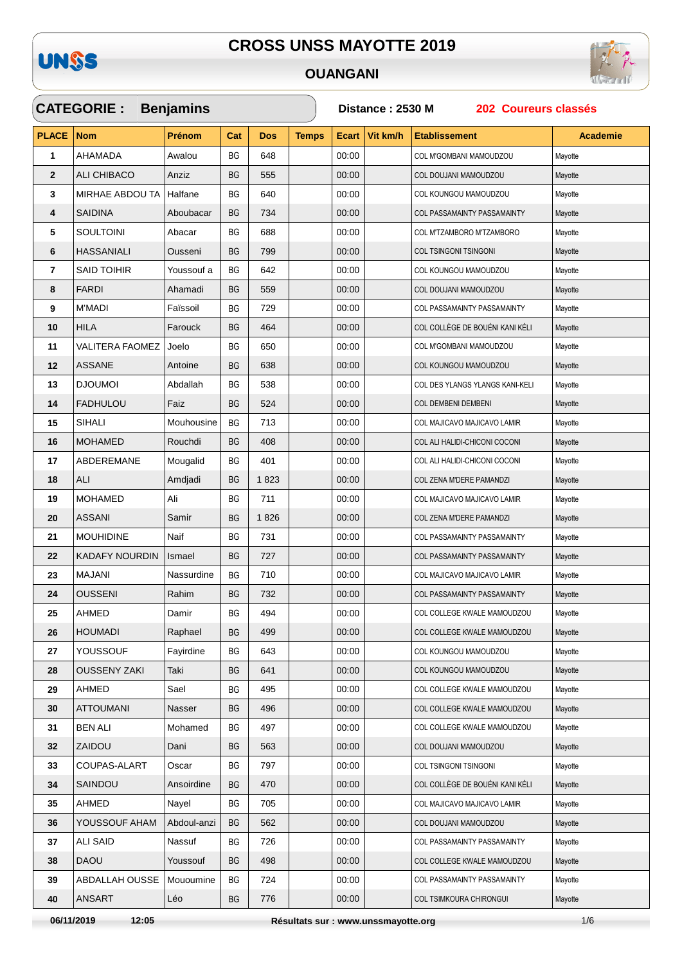

#### **OUANGANI**



| <b>CATEGORIE: Benjamins</b> |                        |               |           |            |              | Distance: 2530 M<br>202 Coureurs classés |          |                                 |                 |  |  |
|-----------------------------|------------------------|---------------|-----------|------------|--------------|------------------------------------------|----------|---------------------------------|-----------------|--|--|
| <b>PLACE</b>                | <b>Nom</b>             | <b>Prénom</b> | Cat       | <b>Dos</b> | <b>Temps</b> | <b>Ecart</b>                             | Vit km/h | <b>Etablissement</b>            | <b>Academie</b> |  |  |
| $\mathbf{1}$                | AHAMADA                | Awalou        | BG        | 648        |              | 00:00                                    |          | COL M'GOMBANI MAMOUDZOU         | Mayotte         |  |  |
| $\mathbf{2}$                | <b>ALI CHIBACO</b>     | Anziz         | <b>BG</b> | 555        |              | 00:00                                    |          | COL DOUJANI MAMOUDZOU           | Mayotte         |  |  |
| 3                           | MIRHAE ABDOU TA        | Halfane       | ВG        | 640        |              | 00:00                                    |          | COL KOUNGOU MAMOUDZOU           | Mayotte         |  |  |
| 4                           | <b>SAIDINA</b>         | Aboubacar     | <b>BG</b> | 734        |              | 00:00                                    |          | COL PASSAMAINTY PASSAMAINTY     | Mayotte         |  |  |
| 5                           | <b>SOULTOINI</b>       | Abacar        | BG        | 688        |              | 00:00                                    |          | COL M'TZAMBORO M'TZAMBORO       | Mayotte         |  |  |
| 6                           | <b>HASSANIALI</b>      | Ousseni       | <b>BG</b> | 799        |              | 00:00                                    |          | COL TSINGONI TSINGONI           | Mayotte         |  |  |
| $\overline{\mathbf{r}}$     | <b>SAID TOIHIR</b>     | Youssouf a    | BG        | 642        |              | 00:00                                    |          | COL KOUNGOU MAMOUDZOU           | Mayotte         |  |  |
| 8                           | <b>FARDI</b>           | Ahamadi       | BG        | 559        |              | 00:00                                    |          | COL DOUJANI MAMOUDZOU           | Mayotte         |  |  |
| 9                           | <b>M'MADI</b>          | Faïssoil      | BG        | 729        |              | 00:00                                    |          | COL PASSAMAINTY PASSAMAINTY     | Mayotte         |  |  |
| 10                          | <b>HILA</b>            | Farouck       | BG        | 464        |              | 00:00                                    |          | COL COLLÈGE DE BOUÉNI KANI KÉLI | Mayotte         |  |  |
| 11                          | <b>VALITERA FAOMEZ</b> | Joelo         | BG        | 650        |              | 00:00                                    |          | COL M'GOMBANI MAMOUDZOU         | Mayotte         |  |  |
| 12                          | <b>ASSANE</b>          | Antoine       | BG        | 638        |              | 00:00                                    |          | COL KOUNGOU MAMOUDZOU           | Mayotte         |  |  |
| 13                          | <b>DJOUMOI</b>         | Abdallah      | ВG        | 538        |              | 00:00                                    |          | COL DES YLANGS YLANGS KANI-KELI | Mayotte         |  |  |
| 14                          | <b>FADHULOU</b>        | Faiz          | <b>BG</b> | 524        |              | 00:00                                    |          | <b>COL DEMBENI DEMBENI</b>      | Mayotte         |  |  |
| 15                          | SIHALI                 | Mouhousine    | <b>BG</b> | 713        |              | 00:00                                    |          | COL MAJICAVO MAJICAVO LAMIR     | Mayotte         |  |  |
| 16                          | <b>MOHAMED</b>         | Rouchdi       | <b>BG</b> | 408        |              | 00:00                                    |          | COL ALI HALIDI-CHICONI COCONI   | Mayotte         |  |  |
| 17                          | ABDEREMANE             | Mougalid      | ВG        | 401        |              | 00:00                                    |          | COL ALI HALIDI-CHICONI COCONI   | Mayotte         |  |  |
| 18                          | ALI                    | Amdjadi       | <b>BG</b> | 1823       |              | 00:00                                    |          | COL ZENA M'DERE PAMANDZI        | Mayotte         |  |  |
| 19                          | <b>MOHAMED</b>         | Ali           | BG        | 711        |              | 00:00                                    |          | COL MAJICAVO MAJICAVO LAMIR     | Mayotte         |  |  |
| 20                          | <b>ASSANI</b>          | Samir         | <b>BG</b> | 1826       |              | 00:00                                    |          | COL ZENA M'DERE PAMANDZI        | Mayotte         |  |  |
| 21                          | <b>MOUHIDINE</b>       | Naif          | ВG        | 731        |              | 00:00                                    |          | COL PASSAMAINTY PASSAMAINTY     | Mayotte         |  |  |
| 22                          | KADAFY NOURDIN         | Ismael        | BG        | 727        |              | 00:00                                    |          | COL PASSAMAINTY PASSAMAINTY     | Mayotte         |  |  |
| 23                          | <b>MAJANI</b>          | Nassurdine    | BG        | 710        |              | 00:00                                    |          | COL MAJICAVO MAJICAVO LAMIR     | Mayotte         |  |  |
| 24                          | <b>OUSSENI</b>         | Rahim         | <b>BG</b> | 732        |              | 00:00                                    |          | COL PASSAMAINTY PASSAMAINTY     | Mayotte         |  |  |
| 25                          | <b>AHMED</b>           | Damir         | ΒG        | 494        |              | 00:00                                    |          | COL COLLEGE KWALE MAMOUDZOU     | Mayotte         |  |  |
| 26                          | <b>HOUMADI</b>         | Raphael       | BG        | 499        |              | 00:00                                    |          | COL COLLEGE KWALE MAMOUDZOU     | Mayotte         |  |  |
| 27                          | <b>YOUSSOUF</b>        | Fayirdine     | BG        | 643        |              | 00:00                                    |          | COL KOUNGOU MAMOUDZOU           | Mayotte         |  |  |
| 28                          | <b>OUSSENY ZAKI</b>    | Taki          | BG        | 641        |              | 00:00                                    |          | COL KOUNGOU MAMOUDZOU           | Mayotte         |  |  |
| 29                          | <b>AHMED</b>           | Sael          | BG        | 495        |              | 00:00                                    |          | COL COLLEGE KWALE MAMOUDZOU     | Mayotte         |  |  |
| 30                          | <b>ATTOUMANI</b>       | Nasser        | BG        | 496        |              | 00:00                                    |          | COL COLLEGE KWALE MAMOUDZOU     | Mayotte         |  |  |
| 31                          | <b>BEN ALI</b>         | Mohamed       | ВG        | 497        |              | 00:00                                    |          | COL COLLEGE KWALE MAMOUDZOU     | Mayotte         |  |  |
| 32                          | ZAIDOU                 | Dani          | ВG        | 563        |              | 00:00                                    |          | COL DOUJANI MAMOUDZOU           | Mayotte         |  |  |
| 33                          | COUPAS-ALART           | Oscar         | ВG        | 797        |              | 00:00                                    |          | COL TSINGONI TSINGONI           | Mayotte         |  |  |
| 34                          | SAINDOU                | Ansoirdine    | BG        | 470        |              | 00:00                                    |          | COL COLLÈGE DE BOUÉNI KANI KÉLI | Mayotte         |  |  |
| 35                          | AHMED                  | Nayel         | ВG        | 705        |              | 00:00                                    |          | COL MAJICAVO MAJICAVO LAMIR     | Mayotte         |  |  |
| 36                          | YOUSSOUF AHAM          | Abdoul-anzi   | BG        | 562        |              | 00:00                                    |          | COL DOUJANI MAMOUDZOU           | Mayotte         |  |  |
| 37                          | <b>ALI SAID</b>        | Nassuf        | BG        | 726        |              | 00:00                                    |          | COL PASSAMAINTY PASSAMAINTY     | Mayotte         |  |  |
| 38                          | <b>DAOU</b>            | Youssouf      | BG        | 498        |              | 00:00                                    |          | COL COLLEGE KWALE MAMOUDZOU     | Mayotte         |  |  |
| 39                          | ABDALLAH OUSSE         | Mououmine     | BG        | 724        |              | 00:00                                    |          | COL PASSAMAINTY PASSAMAINTY     | Mayotte         |  |  |
| 40                          | <b>ANSART</b>          | Léo           | BG        | 776        |              | 00:00                                    |          | COL TSIMKOURA CHIRONGUI         | Mayotte         |  |  |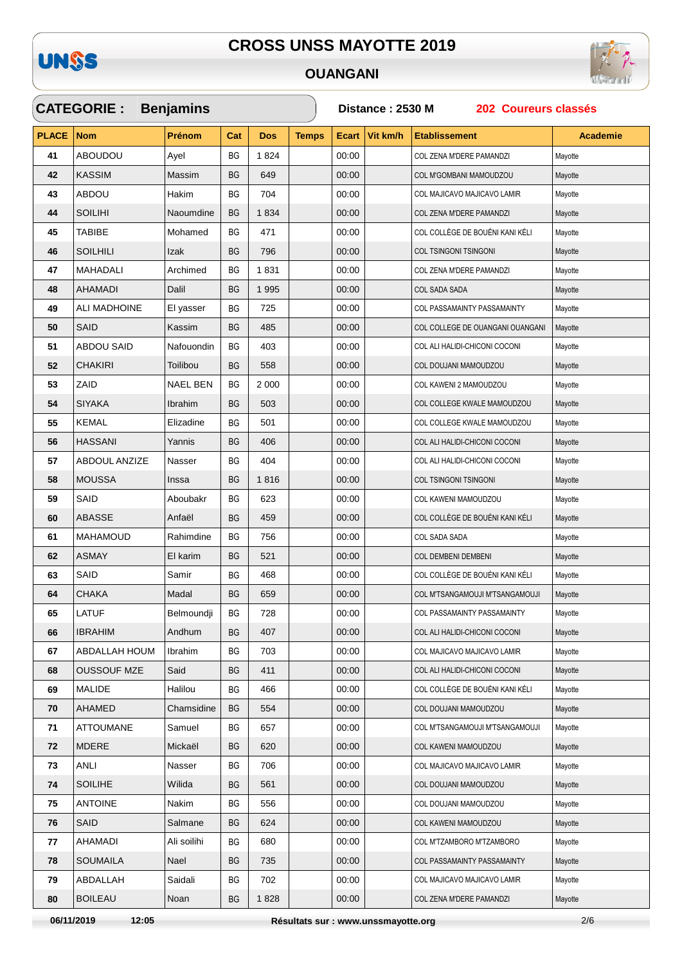

## **OUANGANI**

 $\checkmark$ 



|              | <b>CATEGORIE :</b>   | <b>Benjamins</b> |           |            |              | Distance: 2530 M<br>202 Coureurs classés |          |                                  |                 |  |  |
|--------------|----------------------|------------------|-----------|------------|--------------|------------------------------------------|----------|----------------------------------|-----------------|--|--|
| <b>PLACE</b> | <b>Nom</b>           | Prénom           | Cat       | <b>Dos</b> | <b>Temps</b> | <b>Ecart</b>                             | Vit km/h | <b>Etablissement</b>             | <b>Academie</b> |  |  |
| 41           | <b>ABOUDOU</b>       | Ayel             | <b>BG</b> | 1824       |              | 00:00                                    |          | COL ZENA M'DERE PAMANDZI         | Mayotte         |  |  |
| 42           | <b>KASSIM</b>        | Massim           | <b>BG</b> | 649        |              | 00:00                                    |          | COL M'GOMBANI MAMOUDZOU          | Mayotte         |  |  |
| 43           | <b>ABDOU</b>         | Hakim            | BG        | 704        |              | 00:00                                    |          | COL MAJICAVO MAJICAVO LAMIR      | Mayotte         |  |  |
| 44           | <b>SOILIHI</b>       | Naoumdine        | <b>BG</b> | 1834       |              | 00:00                                    |          | COL ZENA M'DERE PAMANDZI         | Mayotte         |  |  |
| 45           | <b>TABIBE</b>        | Mohamed          | ВG        | 471        |              | 00:00                                    |          | COL COLLÈGE DE BOUÉNI KANI KÉLI  | Mayotte         |  |  |
| 46           | <b>SOILHILI</b>      | Izak             | BG        | 796        |              | 00:00                                    |          | COL TSINGONI TSINGONI            | Mayotte         |  |  |
| 47           | MAHADALI             | Archimed         | ВG        | 1831       |              | 00:00                                    |          | COL ZENA M'DERE PAMANDZI         | Mayotte         |  |  |
| 48           | AHAMADI              | Dalil            | BG        | 1995       |              | 00:00                                    |          | <b>COL SADA SADA</b>             | Mayotte         |  |  |
| 49           | ALI MADHOINE         | El yasser        | ВG        | 725        |              | 00:00                                    |          | COL PASSAMAINTY PASSAMAINTY      | Mayotte         |  |  |
| 50           | SAID                 | Kassim           | <b>BG</b> | 485        |              | 00:00                                    |          | COL COLLEGE DE OUANGANI OUANGANI | Mayotte         |  |  |
| 51           | <b>ABDOU SAID</b>    | Nafouondin       | ВG        | 403        |              | 00:00                                    |          | COL ALI HALIDI-CHICONI COCONI    | Mayotte         |  |  |
| 52           | <b>CHAKIRI</b>       | Toilibou         | <b>BG</b> | 558        |              | 00:00                                    |          | COL DOUJANI MAMOUDZOU            | Mayotte         |  |  |
| 53           | ZAID                 | NAEL BEN         | BG        | 2 0 0 0    |              | 00:00                                    |          | COL KAWENI 2 MAMOUDZOU           | Mayotte         |  |  |
| 54           | <b>SIYAKA</b>        | Ibrahim          | <b>BG</b> | 503        |              | 00:00                                    |          | COL COLLEGE KWALE MAMOUDZOU      | Mayotte         |  |  |
| 55           | <b>KEMAL</b>         | Elizadine        | ВG        | 501        |              | 00:00                                    |          | COL COLLEGE KWALE MAMOUDZOU      | Mayotte         |  |  |
| 56           | <b>HASSANI</b>       | Yannis           | <b>BG</b> | 406        |              | 00:00                                    |          | COL ALI HALIDI-CHICONI COCONI    | Mayotte         |  |  |
| 57           | <b>ABDOUL ANZIZE</b> | Nasser           | ВG        | 404        |              | 00:00                                    |          | COL ALI HALIDI-CHICONI COCONI    | Mayotte         |  |  |
| 58           | <b>MOUSSA</b>        | Inssa            | BG        | 1816       |              | 00:00                                    |          | COL TSINGONI TSINGONI            | Mayotte         |  |  |
| 59           | SAID                 | Aboubakr         | BG        | 623        |              | 00:00                                    |          | COL KAWENI MAMOUDZOU             | Mayotte         |  |  |
| 60           | <b>ABASSE</b>        | Anfaël           | BG        | 459        |              | 00:00                                    |          | COL COLLÈGE DE BOUÉNI KANI KÉLI  | Mayotte         |  |  |
| 61           | <b>MAHAMOUD</b>      | Rahimdine        | ВG        | 756        |              | 00:00                                    |          | COL SADA SADA                    | Mayotte         |  |  |
| 62           | <b>ASMAY</b>         | El karim         | BG        | 521        |              | 00:00                                    |          | COL DEMBENI DEMBENI              | Mayotte         |  |  |
| 63           | SAID                 | Samir            | BG        | 468        |              | 00:00                                    |          | COL COLLÈGE DE BOUÉNI KANI KÉLI  | Mayotte         |  |  |
| 64           | <b>CHAKA</b>         | Madal            | <b>BG</b> | 659        |              | 00:00                                    |          | COL M'TSANGAMOUJI M'TSANGAMOUJI  | Mayotte         |  |  |
| 65           | <b>LATUF</b>         | Belmoundji       | BG        | 728        |              | 00:00                                    |          | COL PASSAMAINTY PASSAMAINTY      | Mayotte         |  |  |
| 66           | <b>IBRAHIM</b>       | Andhum           | BG        | 407        |              | 00:00                                    |          | COL ALI HALIDI-CHICONI COCONI    | Mayotte         |  |  |
| 67           | ABDALLAH HOUM        | Ibrahim          | BG        | 703        |              | 00:00                                    |          | COL MAJICAVO MAJICAVO LAMIR      | Mayotte         |  |  |
| 68           | <b>OUSSOUF MZE</b>   | Said             | BG        | 411        |              | 00:00                                    |          | COL ALI HALIDI-CHICONI COCONI    | Mayotte         |  |  |
| 69           | MALIDE               | Halilou          | ВG        | 466        |              | 00:00                                    |          | COL COLLÈGE DE BOUÉNI KANI KÉLI  | Mayotte         |  |  |
| 70           | AHAMED               | Chamsidine       | <b>BG</b> | 554        |              | 00:00                                    |          | COL DOUJANI MAMOUDZOU            | Mayotte         |  |  |
| 71           | <b>ATTOUMANE</b>     | Samuel           | ВG        | 657        |              | 00:00                                    |          | COL M'TSANGAMOUJI M'TSANGAMOUJI  | Mayotte         |  |  |
| 72           | <b>MDERE</b>         | Mickaël          | BG        | 620        |              | 00:00                                    |          | COL KAWENI MAMOUDZOU             | Mayotte         |  |  |
| 73           | ANLI                 | Nasser           | BG        | 706        |              | 00:00                                    |          | COL MAJICAVO MAJICAVO LAMIR      | Mayotte         |  |  |
| 74           | <b>SOILIHE</b>       | Wilida           | BG        | 561        |              | 00:00                                    |          | COL DOUJANI MAMOUDZOU            | Mayotte         |  |  |
| 75           | <b>ANTOINE</b>       | Nakim            | BG        | 556        |              | 00:00                                    |          | COL DOUJANI MAMOUDZOU            | Mayotte         |  |  |
| 76           | SAID                 | Salmane          | BG        | 624        |              | 00:00                                    |          | COL KAWENI MAMOUDZOU             | Mayotte         |  |  |
| 77           | AHAMADI              | Ali soilihi      | BG        | 680        |              | 00:00                                    |          | COL M'TZAMBORO M'TZAMBORO        | Mayotte         |  |  |
| 78           | <b>SOUMAILA</b>      | Nael             | BG        | 735        |              | 00:00                                    |          | COL PASSAMAINTY PASSAMAINTY      | Mayotte         |  |  |
| 79           | ABDALLAH             | Saidali          | BG        | 702        |              | 00:00                                    |          | COL MAJICAVO MAJICAVO LAMIR      | Mayotte         |  |  |
| 80           | <b>BOILEAU</b>       | Noan             | BG        | 1828       |              | 00:00                                    |          | COL ZENA M'DERE PAMANDZI         | Mayotte         |  |  |

06/11/2019

12:05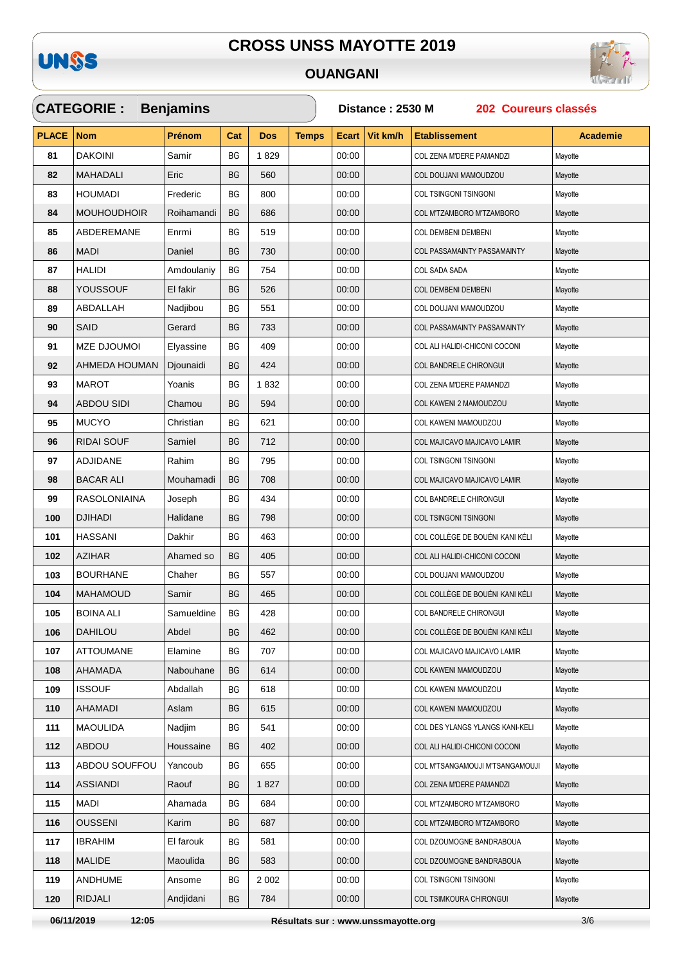

## **OUANGANI**



|              | <b>CATEGORIE:</b>   | <b>Benjamins</b> |           |            |              | 202 Coureurs classés<br>Distance: 2530 M |          |                                    |          |  |  |
|--------------|---------------------|------------------|-----------|------------|--------------|------------------------------------------|----------|------------------------------------|----------|--|--|
| <b>PLACE</b> | <b>Nom</b>          | <b>Prénom</b>    | Cat       | <b>Dos</b> | <b>Temps</b> | <b>Ecart</b>                             | Vit km/h | <b>Etablissement</b>               | Academie |  |  |
| 81           | <b>DAKOINI</b>      | Samir            | BG        | 1829       |              | 00:00                                    |          | COL ZENA M'DERE PAMANDZI           | Mayotte  |  |  |
| 82           | <b>MAHADALI</b>     | Eric             | <b>BG</b> | 560        |              | 00:00                                    |          | COL DOUJANI MAMOUDZOU              | Mayotte  |  |  |
| 83           | <b>HOUMADI</b>      | Frederic         | BG        | 800        |              | 00:00                                    |          | COL TSINGONI TSINGONI              | Mayotte  |  |  |
| 84           | <b>MOUHOUDHOIR</b>  | Roihamandi       | <b>BG</b> | 686        |              | 00:00                                    |          | COL M'TZAMBORO M'TZAMBORO          | Mayotte  |  |  |
| 85           | <b>ABDEREMANE</b>   | Enrmi            | BG        | 519        |              | 00:00                                    |          | COL DEMBENI DEMBENI                | Mayotte  |  |  |
| 86           | <b>MADI</b>         | Daniel           | BG        | 730        |              | 00:00                                    |          | <b>COL PASSAMAINTY PASSAMAINTY</b> | Mayotte  |  |  |
| 87           | HALIDI              | Amdoulaniy       | ВG        | 754        |              | 00:00                                    |          | COL SADA SADA                      | Mayotte  |  |  |
| 88           | YOUSSOUF            | El fakir         | BG        | 526        |              | 00:00                                    |          | <b>COL DEMBENI DEMBENI</b>         | Mayotte  |  |  |
| 89           | ABDALLAH            | Nadjibou         | BG        | 551        |              | 00:00                                    |          | COL DOUJANI MAMOUDZOU              | Mayotte  |  |  |
| 90           | SAID                | Gerard           | <b>BG</b> | 733        |              | 00:00                                    |          | COL PASSAMAINTY PASSAMAINTY        | Mayotte  |  |  |
| 91           | <b>MZE DJOUMOI</b>  | Elyassine        | ВG        | 409        |              | 00:00                                    |          | COL ALI HALIDI-CHICONI COCONI      | Mayotte  |  |  |
| 92           | AHMEDA HOUMAN       | Djounaidi        | BG        | 424        |              | 00:00                                    |          | COL BANDRELE CHIRONGUI             | Mayotte  |  |  |
| 93           | <b>MAROT</b>        | Yoanis           | ВG        | 1832       |              | 00:00                                    |          | COL ZENA M'DERE PAMANDZI           | Mayotte  |  |  |
| 94           | <b>ABDOU SIDI</b>   | Chamou           | BG        | 594        |              | 00:00                                    |          | COL KAWENI 2 MAMOUDZOU             | Mayotte  |  |  |
| 95           | <b>MUCYO</b>        | Christian        | ВG        | 621        |              | 00:00                                    |          | COL KAWENI MAMOUDZOU               | Mayotte  |  |  |
| 96           | <b>RIDAI SOUF</b>   | Samiel           | <b>BG</b> | 712        |              | 00:00                                    |          | COL MAJICAVO MAJICAVO LAMIR        | Mayotte  |  |  |
| 97           | ADJIDANE            | Rahim            | ВG        | 795        |              | 00:00                                    |          | COL TSINGONI TSINGONI              | Mayotte  |  |  |
| 98           | <b>BACAR ALI</b>    | Mouhamadi        | <b>BG</b> | 708        |              | 00:00                                    |          | COL MAJICAVO MAJICAVO LAMIR        | Mayotte  |  |  |
| 99           | <b>RASOLONIAINA</b> | Joseph           | ВG        | 434        |              | 00:00                                    |          | COL BANDRELE CHIRONGUI             | Mayotte  |  |  |
| 100          | <b>DJIHADI</b>      | Halidane         | <b>BG</b> | 798        |              | 00:00                                    |          | COL TSINGONI TSINGONI              | Mayotte  |  |  |
| 101          | HASSANI             | Dakhir           | BG        | 463        |              | 00:00                                    |          | COL COLLÈGE DE BOUÉNI KANI KÉLI    | Mayotte  |  |  |
| 102          | <b>AZIHAR</b>       | Ahamed so        | <b>BG</b> | 405        |              | 00:00                                    |          | COL ALI HALIDI-CHICONI COCONI      | Mayotte  |  |  |
| 103          | <b>BOURHANE</b>     | Chaher           | ВG        | 557        |              | 00:00                                    |          | COL DOUJANI MAMOUDZOU              | Mayotte  |  |  |
| 104          | <b>MAHAMOUD</b>     | Samir            | <b>BG</b> | 465        |              | 00:00                                    |          | COL COLLÈGE DE BOUÉNI KANI KÉLI    | Mayotte  |  |  |
| 105          | <b>BOINA ALI</b>    | Samueldine       | BG        | 428        |              | 00:00                                    |          | COL BANDRELE CHIRONGUI             | Mayotte  |  |  |
| 106          | DAHILOU             | Abdel            | BG        | 462        |              | 00:00                                    |          | COL COLLÈGE DE BOUÉNI KANI KÉLI    | Mayotte  |  |  |
| 107          | <b>ATTOUMANE</b>    | Elamine          | ВG        | 707        |              | 00:00                                    |          | COL MAJICAVO MAJICAVO LAMIR        | Mayotte  |  |  |
| 108          | AHAMADA             | Nabouhane        | BG        | 614        |              | 00:00                                    |          | COL KAWENI MAMOUDZOU               | Mayotte  |  |  |
| 109          | <b>ISSOUF</b>       | Abdallah         | ВG        | 618        |              | 00:00                                    |          | COL KAWENI MAMOUDZOU               | Mayotte  |  |  |
| 110          | AHAMADI             | Aslam            | BG        | 615        |              | 00:00                                    |          | COL KAWENI MAMOUDZOU               | Mayotte  |  |  |
| 111          | <b>MAOULIDA</b>     | Nadjim           | BG        | 541        |              | 00:00                                    |          | COL DES YLANGS YLANGS KANI-KELI    | Mayotte  |  |  |
| 112          | <b>ABDOU</b>        | Houssaine        | BG        | 402        |              | 00:00                                    |          | COL ALI HALIDI-CHICONI COCONI      | Mayotte  |  |  |
| 113          | ABDOU SOUFFOU       | Yancoub          | BG        | 655        |              | 00:00                                    |          | COL M'TSANGAMOUJI M'TSANGAMOUJI    | Mayotte  |  |  |
| 114          | ASSIANDI            | Raouf            | BG        | 1827       |              | 00:00                                    |          | COL ZENA M'DERE PAMANDZI           | Mayotte  |  |  |
| 115          | MADI                | Ahamada          | ВG        | 684        |              | 00:00                                    |          | COL M'TZAMBORO M'TZAMBORO          | Mayotte  |  |  |
| 116          | <b>OUSSENI</b>      | Karim            | BG        | 687        |              | 00:00                                    |          | COL M'TZAMBORO M'TZAMBORO          | Mayotte  |  |  |
| 117          | <b>IBRAHIM</b>      | El farouk        | ВG        | 581        |              | 00:00                                    |          | COL DZOUMOGNE BANDRABOUA           | Mayotte  |  |  |
| 118          | <b>MALIDE</b>       | Maoulida         | BG        | 583        |              | 00:00                                    |          | COL DZOUMOGNE BANDRABOUA           | Mayotte  |  |  |
| 119          | ANDHUME             | Ansome           | ВG        | 2 0 0 2    |              | 00:00                                    |          | COL TSINGONI TSINGONI              | Mayotte  |  |  |
| 120          | <b>RIDJALI</b>      | Andjidani        | BG        | 784        |              | 00:00                                    |          | COL TSIMKOURA CHIRONGUI            | Mayotte  |  |  |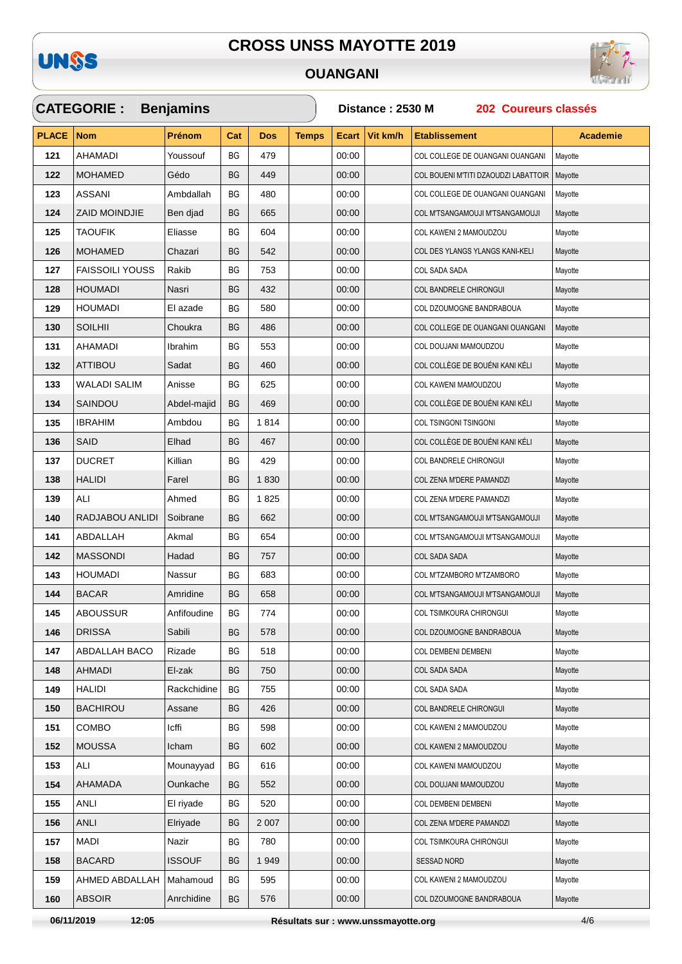



## **OUANGANI**

|              | <b>CATEGORIE:</b>      | <b>Benjamins</b> |     |            |              | Distance: 2530 M<br>202 Coureurs classés |          |                                      |                 |  |  |
|--------------|------------------------|------------------|-----|------------|--------------|------------------------------------------|----------|--------------------------------------|-----------------|--|--|
| <b>PLACE</b> | <b>Nom</b>             | <b>Prénom</b>    | Cat | <b>Dos</b> | <b>Temps</b> | <b>Ecart</b>                             | Vit km/h | <b>Etablissement</b>                 | <b>Academie</b> |  |  |
| 121          | AHAMADI                | Youssouf         | BG  | 479        |              | 00:00                                    |          | COL COLLEGE DE OUANGANI OUANGANI     | Mayotte         |  |  |
| 122          | <b>MOHAMED</b>         | Gédo             | BG  | 449        |              | 00:00                                    |          | COL BOUENI M'TITI DZAOUDZI LABATTOIR | Mayotte         |  |  |
| 123          | ASSANI                 | Ambdallah        | ВG  | 480        |              | 00:00                                    |          | COL COLLEGE DE OUANGANI OUANGANI     | Mayotte         |  |  |
| 124          | <b>ZAID MOINDJIE</b>   | Ben djad         | BG  | 665        |              | 00:00                                    |          | COL M'TSANGAMOUJI M'TSANGAMOUJI      | Mayotte         |  |  |
| 125          | <b>TAOUFIK</b>         | Eliasse          | BG  | 604        |              | 00:00                                    |          | COL KAWENI 2 MAMOUDZOU               | Mayotte         |  |  |
| 126          | <b>MOHAMED</b>         | Chazari          | BG  | 542        |              | 00:00                                    |          | COL DES YLANGS YLANGS KANI-KELI      | Mayotte         |  |  |
| 127          | <b>FAISSOILI YOUSS</b> | Rakib            | ВG  | 753        |              | 00:00                                    |          | COL SADA SADA                        | Mayotte         |  |  |
| 128          | <b>HOUMADI</b>         | Nasri            | BG  | 432        |              | 00:00                                    |          | COL BANDRELE CHIRONGUI               | Mayotte         |  |  |
| 129          | <b>HOUMADI</b>         | El azade         | ВG  | 580        |              | 00:00                                    |          | COL DZOUMOGNE BANDRABOUA             | Mayotte         |  |  |
| 130          | <b>SOILHII</b>         | Choukra          | BG  | 486        |              | 00:00                                    |          | COL COLLEGE DE OUANGANI OUANGANI     | Mayotte         |  |  |
| 131          | AHAMADI                | Ibrahim          | ВG  | 553        |              | 00:00                                    |          | COL DOUJANI MAMOUDZOU                | Mayotte         |  |  |
| 132          | <b>ATTIBOU</b>         | Sadat            | BG  | 460        |              | 00:00                                    |          | COL COLLÈGE DE BOUÉNI KANI KÉLI      | Mayotte         |  |  |
| 133          | <b>WALADI SALIM</b>    | Anisse           | BG  | 625        |              | 00:00                                    |          | COL KAWENI MAMOUDZOU                 | Mayotte         |  |  |
| 134          | SAINDOU                | Abdel-majid      | BG  | 469        |              | 00:00                                    |          | COL COLLÈGE DE BOUÉNI KANI KÉLI      | Mayotte         |  |  |
| 135          | <b>IBRAHIM</b>         | Ambdou           | ВG  | 1814       |              | 00:00                                    |          | COL TSINGONI TSINGONI                | Mayotte         |  |  |
| 136          | SAID                   | Elhad            | BG  | 467        |              | 00:00                                    |          | COL COLLÈGE DE BOUÉNI KANI KÉLI      | Mayotte         |  |  |
| 137          | <b>DUCRET</b>          | Killian          | BG  | 429        |              | 00:00                                    |          | COL BANDRELE CHIRONGUI               | Mayotte         |  |  |
| 138          | <b>HALIDI</b>          | Farel            | BG  | 1830       |              | 00:00                                    |          | COL ZENA M'DERE PAMANDZI             | Mayotte         |  |  |
| 139          | ALI                    | Ahmed            | ВG  | 1825       |              | 00:00                                    |          | COL ZENA M'DERE PAMANDZI             | Mayotte         |  |  |
| 140          | RADJABOU ANLIDI        | Soibrane         | BG  | 662        |              | 00:00                                    |          | COL M'TSANGAMOUJI M'TSANGAMOUJI      | Mayotte         |  |  |
| 141          | ABDALLAH               | Akmal            | ВG  | 654        |              | 00:00                                    |          | COL M'TSANGAMOUJI M'TSANGAMOUJI      | Mayotte         |  |  |
| 142          | <b>MASSONDI</b>        | Hadad            | BG  | 757        |              | 00:00                                    |          | <b>COL SADA SADA</b>                 | Mayotte         |  |  |
| 143          | <b>HOUMADI</b>         | Nassur           | ВG  | 683        |              | 00:00                                    |          | COL M'TZAMBORO M'TZAMBORO            | Mayotte         |  |  |
| 144          | <b>BACAR</b>           | Amridine         | BG  | 658        |              | 00:00                                    |          | COL M'TSANGAMOUJI M'TSANGAMOUJI      | Mayotte         |  |  |
| 145          | <b>ABOUSSUR</b>        | Anfifoudine      | BG  | 774        |              | 00:00                                    |          | COL TSIMKOURA CHIRONGUI              | Mayotte         |  |  |
| 146          | <b>DRISSA</b>          | Sabili           | BG  | 578        |              | 00:00                                    |          | COL DZOUMOGNE BANDRABOUA             | Mayotte         |  |  |
| 147          | <b>ABDALLAH BACO</b>   | Rizade           | BG  | 518        |              | 00:00                                    |          | COL DEMBENI DEMBENI                  | Mayotte         |  |  |
| 148          | AHMADI                 | El-zak           | BG  | 750        |              | 00:00                                    |          | COL SADA SADA                        | Mayotte         |  |  |
| 149          | <b>HALIDI</b>          | Rackchidine      | BG  | 755        |              | 00:00                                    |          | COL SADA SADA                        | Mayotte         |  |  |
| 150          | <b>BACHIROU</b>        | Assane           | BG  | 426        |              | 00:00                                    |          | COL BANDRELE CHIRONGUI               | Mayotte         |  |  |
| 151          | <b>COMBO</b>           | Icffi            | BG  | 598        |              | 00:00                                    |          | COL KAWENI 2 MAMOUDZOU               | Mayotte         |  |  |
| 152          | <b>MOUSSA</b>          | Icham            | BG  | 602        |              | 00:00                                    |          | COL KAWENI 2 MAMOUDZOU               | Mayotte         |  |  |
| 153          | ALI                    | Mounayyad        | ВG  | 616        |              | 00:00                                    |          | COL KAWENI MAMOUDZOU                 | Mayotte         |  |  |
| 154          | <b>AHAMADA</b>         | Ounkache         | BG  | 552        |              | 00:00                                    |          | COL DOUJANI MAMOUDZOU                | Mayotte         |  |  |
| 155          | ANLI                   | El riyade        | ВG  | 520        |              | 00:00                                    |          | COL DEMBENI DEMBENI                  | Mayotte         |  |  |
| 156          | <b>ANLI</b>            | Elriyade         | BG  | 2 0 0 7    |              | 00:00                                    |          | COL ZENA M'DERE PAMANDZI             | Mayotte         |  |  |
| 157          | <b>MADI</b>            | Nazir            | BG  | 780        |              | 00:00                                    |          | COL TSIMKOURA CHIRONGUI              | Mayotte         |  |  |
| 158          | <b>BACARD</b>          | <b>ISSOUF</b>    | BG  | 1949       |              | 00:00                                    |          | <b>SESSAD NORD</b>                   | Mayotte         |  |  |
| 159          | AHMED ABDALLAH         | Mahamoud         | BG  | 595        |              | 00:00                                    |          | COL KAWENI 2 MAMOUDZOU               | Mayotte         |  |  |
| 160          | <b>ABSOIR</b>          | Anrchidine       | BG  | 576        |              | 00:00                                    |          | COL DZOUMOGNE BANDRABOUA             | Mayotte         |  |  |

06/11/2019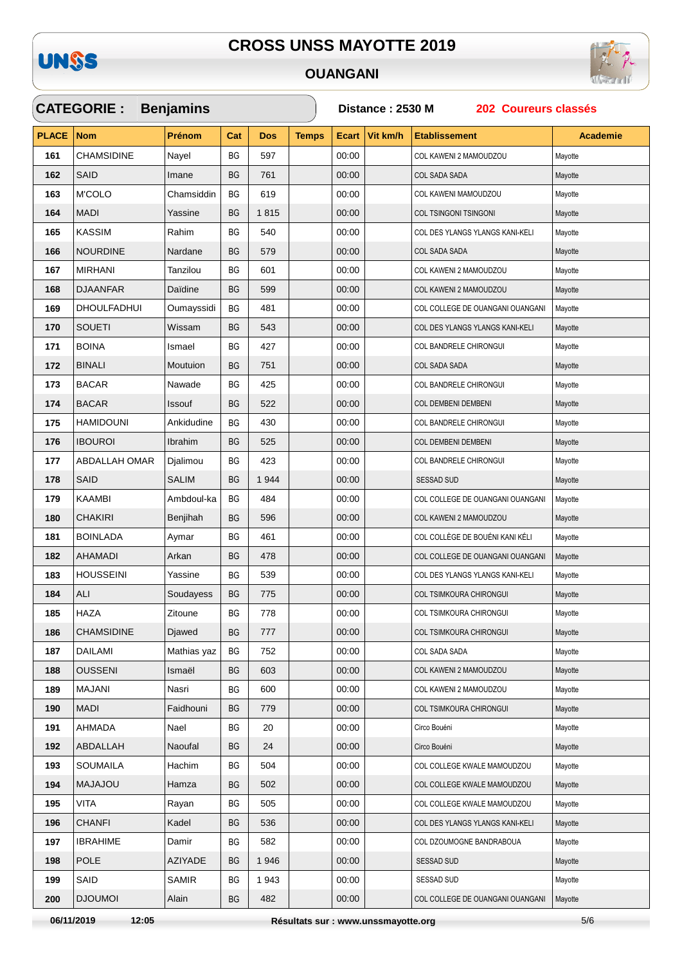**OUANGANI** 



#### **CATEGORIE: Benjamins** Distance: 2530 M 202 Coureurs classés **PLACE**  $N<sub>cm</sub>$ Prénom Cat Dos **Temps** Ecart Vit km/h **Etablissement Academie CHAMSIDINF** Navel **BG** 597  $00:00$ COL KAWENI 2 MAMOUDZOU 161 Mavotte COL SADA SADA  $162$ SAID Imane  $RG$ 761  $00.00$ Mayotte 163 M'COLO **BG**  $00:00$ COL KAWENI MAMOUDZOU Chamsiddin 619 Mavotte **MADI** Yassine **BG** 1815  $00:00$ **COL TSINGONI TSINGONI** 164 Mavotte 165 **KASSIM** Rahim  $RG$ 540 00:00 COL DES YLANGS YLANGS KANI-KELI Mavotte **NOURDINE** Nardane  $00:00$ **BG** 579 COL SADA SADA 166 Mayotte 167 **MIRHANI** Tanzilou **BG** 601 00:00 COL KAWENI 2 MAMOUDZOU Mayotte **DJAANFAR** Daïdine  $00:00$ 168  $RG$ 599 COL KAWENI 2 MAMOUDZOU Mayotte 169 **DHOULFADHUI** Oumayssidi **BG** 481 00:00 COL COLLEGE DE OUANGANI OUANGANI Mayotte 170 **SOUETI** Wissam  $RG$ 543 00:00 COL DES YLANGS YLANGS KANI-KELI Mavotte **ROINA** 00:00 171 Ismael **BG**  $427$ COL BANDRELE CHIRONGUI Mavotte 172 **BINALI** Moutuion  $RG$ 751 00:00 COL SADA SADA Mayotte **BACAR**  $RG$  $00:00$ 173 Nawade 425 COL BANDRELE CHIRONGUI Mayotte  $RG$ 174 **BACAR** Issouf 522  $00.00$ COL DEMBENI DEMBEN Mayotte **HAMIDOUNI** Ankidudine  $RG$ 430  $00.00$ 175 COL BANDRELE CHIRONGLIL Mayotte  $176$ **IBOUROI** Ibrahim **BG** 525  $00:00$ **COL DEMBENI DEMBENI** Mavotte **ABDALLAH OMAR** COL BANDRELE CHIRONGUL Djalimou **BG**  $423$  $00.00$ Mayotte 177 178 **SAID** SAI IM **BG** 1944  $00:00$ SESSAD SUD Mayotte 179 **KAAMBI** Ambdoul-ka  $RG$ 484  $00:00$ COL COLLEGE DE OUANGANI OUANGANI Mayotte 180 **CHAKIRI** Benjihah  $RG$ 596 00:00 COL KAWENI 2 MAMOUDZOU Mavotte **BOINI ADA BG** 461  $00:00$ COL COLLÈGE DE BOUÉNI KANI KÉLI 181 Avmar Mayotte COL COLLEGE DE OUANGANI OUANGANI 182 **AHAMADI** Arkan **BG** 478 00:00 Mavotte **HOUSSEINI** Yassine **BG** 539 00:00 183 COL DES YLANGS YLANGS KANI-KELL Mayotte BG 775  $00:00$ COL TSIMKOURA CHIRONGUI 184 **ALI** Soudayess Mayotte 185 **HAZA** Zitoune  $RG$ 778  $00:00$ COL TSIMKOURA CHIRONGUI Mayotte **CHAMSIDINE** Diawed  $\mathsf{B}\mathsf{G}$ 777  $00.00$ COL TSIMKOURA CHIRONGUI Mayotte 186 **DAILAMI**  $00:00$ 187 Mathias yaz  $RG$ 752 COL SADA SADA Mayotte **OUSSENI** 00:00 188 Ismaël  $RG$ 603 COL KAWENI 2 MAMOUDZOU Mayotte MA.IANI Nasri  $RG$  $00:00$ 189 600 COL KAWENI 2 MAMOLIDZOLI Mayotte **MADI** Faidhouni  $RG$ 779  $00:00$ COL TSIMKOURA CHIRONGUL 190 Mavotte 191 **AHMADA** Nael **BG**  $00:00$  $20$ Circo Bouéni Mayotte ABDALLAH Naoufal  $BG<sub>2</sub>$ 00:00 Circo Bouéni 192 24 Mayotte 193 **SOUMAILA** Hachim **BG** 504 00:00 COL COLLEGE KWALE MAMOUDZOU Mavotte **MAJAJOU** 194 Hamza  $RG$ 502  $00:00$ COL COLLEGE KWALE MAMOUDZOU Mavotte **VITA** 195 Rayan **BG** 505  $00.00$ COL COLLEGE KWALE MAMOUDZOU Mavotte 196 **CHANFI** Kadel  $RG$ 536  $00:00$ COL DES YLANGS YLANGS KANI-KELI Mayotte **IBRAHIME** Damir 582 00:00 COL DZOUMOGNE BANDRABOUA 197 **BG** Mayotte **POLE AZIYADE BG** 1946 00:00 198 SESSAD SUD Mayotte SAMIR 199 SAID  $RG$ 1943 00:00 SESSAD SUD Mayotte Alain 200 **DJOUMOI**  $RG$ 482 00:00 COL COLLEGE DE OUANGANI OUANGANI Mavotte

06/11/2019

 $12:05$